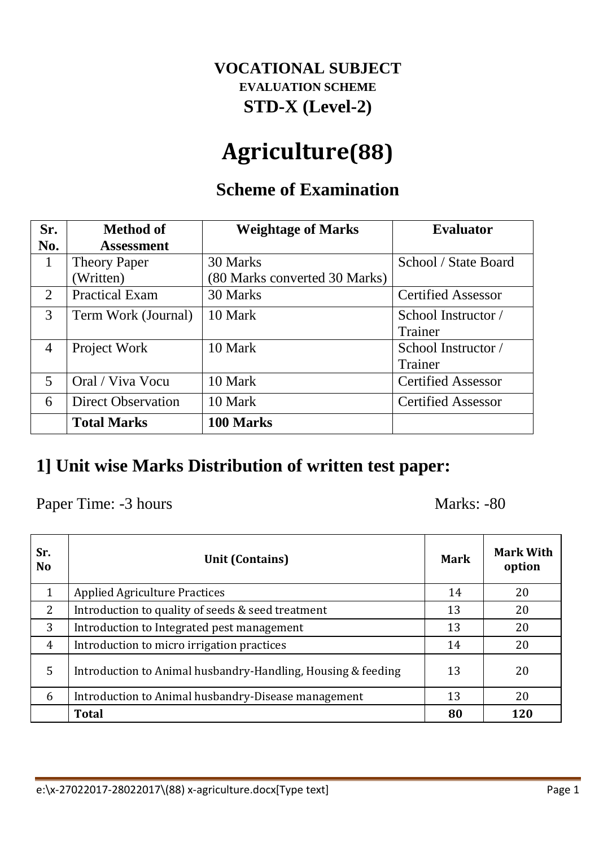### **VOCATIONAL SUBJECT EVALUATION SCHEME STD-X (Level-2)**

# **Agriculture(88)**

## **Scheme of Examination**

| Sr.                         | <b>Method of</b>          | <b>Weightage of Marks</b>     | <b>Evaluator</b>          |
|-----------------------------|---------------------------|-------------------------------|---------------------------|
| No.                         | <b>Assessment</b>         |                               |                           |
| 1                           | <b>Theory Paper</b>       | 30 Marks                      | School / State Board      |
|                             | Written)                  | (80 Marks converted 30 Marks) |                           |
| $\mathcal{D}_{\mathcal{L}}$ | <b>Practical Exam</b>     | 30 Marks                      | <b>Certified Assessor</b> |
| 3                           | Term Work (Journal)       | 10 Mark                       | School Instructor /       |
|                             |                           |                               | Trainer                   |
| $\overline{4}$              | Project Work              | 10 Mark                       | School Instructor /       |
|                             |                           |                               | Trainer                   |
| 5                           | Oral / Viva Vocu          | 10 Mark                       | <b>Certified Assessor</b> |
| 6                           | <b>Direct Observation</b> | 10 Mark                       | <b>Certified Assessor</b> |
|                             | <b>Total Marks</b>        | 100 Marks                     |                           |

### **1] Unit wise Marks Distribution of written test paper:**

Paper Time: -3 hours Marks: -80

| Sr.<br><b>No</b> | <b>Unit (Contains)</b>                                       | <b>Mark</b> | <b>Mark With</b><br>option |  |  |
|------------------|--------------------------------------------------------------|-------------|----------------------------|--|--|
| $\mathbf{1}$     | <b>Applied Agriculture Practices</b>                         | 14          | 20                         |  |  |
| 2                | Introduction to quality of seeds & seed treatment            | 13          | 20                         |  |  |
| 3                | Introduction to Integrated pest management                   | 13          | 20                         |  |  |
| $\overline{4}$   | Introduction to micro irrigation practices                   | 14          | 20                         |  |  |
| 5                | Introduction to Animal husbandry-Handling, Housing & feeding |             | 20                         |  |  |
| 6                | Introduction to Animal husbandry-Disease management          | 13          | 20                         |  |  |
|                  | <b>Total</b>                                                 | 80          | <b>120</b>                 |  |  |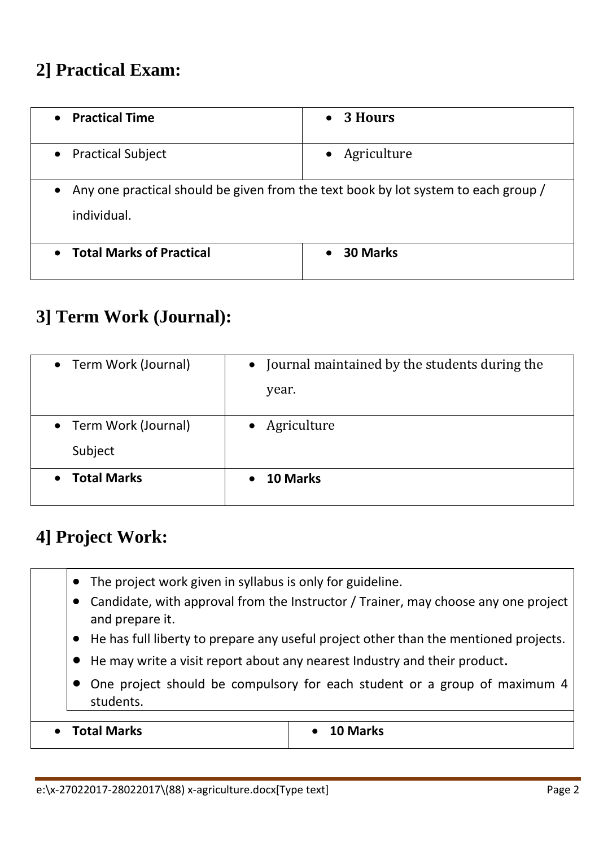## **2] Practical Exam:**

| <b>Practical Time</b><br>$\bullet$ | 3 Hours<br>$\bullet$                                                               |  |  |  |  |  |  |  |  |
|------------------------------------|------------------------------------------------------------------------------------|--|--|--|--|--|--|--|--|
| • Practical Subject                | • Agriculture                                                                      |  |  |  |  |  |  |  |  |
| $\bullet$<br>individual.           | Any one practical should be given from the text book by lot system to each group / |  |  |  |  |  |  |  |  |
| • Total Marks of Practical         | <b>30 Marks</b>                                                                    |  |  |  |  |  |  |  |  |

## **3] Term Work (Journal):**

| • Term Work (Journal)           | Journal maintained by the students during the<br>$\bullet$ |
|---------------------------------|------------------------------------------------------------|
|                                 | year.                                                      |
| • Term Work (Journal)           | Agriculture                                                |
| Subject                         |                                                            |
| <b>Total Marks</b><br>$\bullet$ | 10 Marks                                                   |

### **4] Project Work:**

- The project work given in syllabus is only for guideline.
- Candidate, with approval from the Instructor / Trainer, may choose any one project and prepare it.
- He has full liberty to prepare any useful project other than the mentioned projects.
- He may write a visit report about any nearest Industry and their product.
- One project should be compulsory for each student or a group of maximum 4 students.

**Total Marks 10 Marks**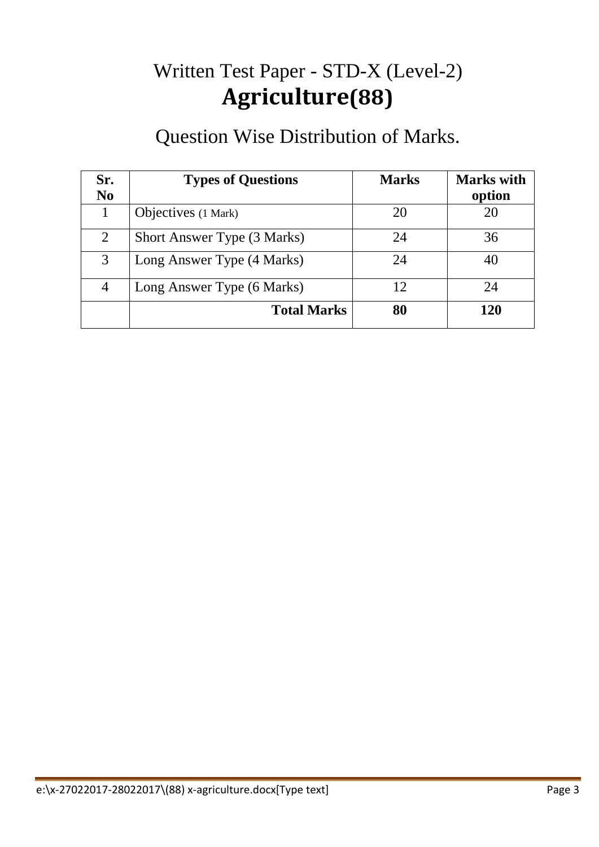# Written Test Paper - STD-X (Level-2) **Agriculture(88)**

## Question Wise Distribution of Marks.

| Sr.<br>N <sub>0</sub> | <b>Types of Questions</b>   | <b>Marks</b> | <b>Marks</b> with<br>option |
|-----------------------|-----------------------------|--------------|-----------------------------|
|                       | Objectives (1 Mark)         | 20           | 20                          |
| 2                     | Short Answer Type (3 Marks) | 24           | 36                          |
| 3                     | Long Answer Type (4 Marks)  | 24           |                             |
| 4                     | Long Answer Type (6 Marks)  | 12           | 24                          |
|                       | <b>Total Marks</b>          | 80           | 120                         |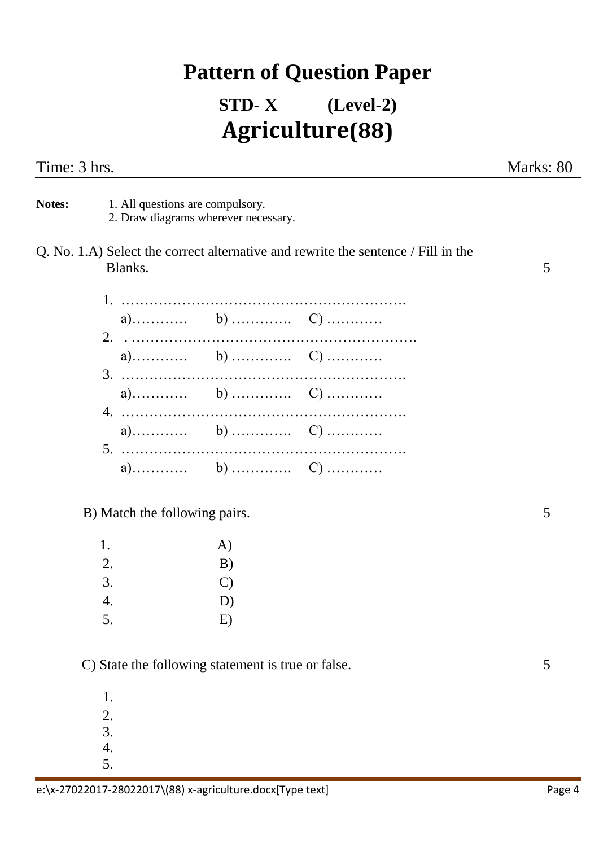## **Pattern of Question Paper**

## **STD- X (Level-2) Agriculture(88)**

|         |              |                                                                         | Marks: 80                                                                                                                 |
|---------|--------------|-------------------------------------------------------------------------|---------------------------------------------------------------------------------------------------------------------------|
|         |              |                                                                         |                                                                                                                           |
| Blanks. |              |                                                                         | 5                                                                                                                         |
|         |              |                                                                         |                                                                                                                           |
|         |              |                                                                         |                                                                                                                           |
|         |              |                                                                         |                                                                                                                           |
|         |              |                                                                         |                                                                                                                           |
|         |              |                                                                         |                                                                                                                           |
|         |              |                                                                         |                                                                                                                           |
|         |              |                                                                         | 5                                                                                                                         |
| 1.      | A)           |                                                                         |                                                                                                                           |
| 2.      | B)           |                                                                         |                                                                                                                           |
| 3.      | $\mathbf{C}$ |                                                                         |                                                                                                                           |
| 5.      | E)           |                                                                         |                                                                                                                           |
|         | 4.           | 1. All questions are compulsory.<br>B) Match the following pairs.<br>D) | 2. Draw diagrams wherever necessary.<br>Q. No. 1.A) Select the correct alternative and rewrite the sentence / Fill in the |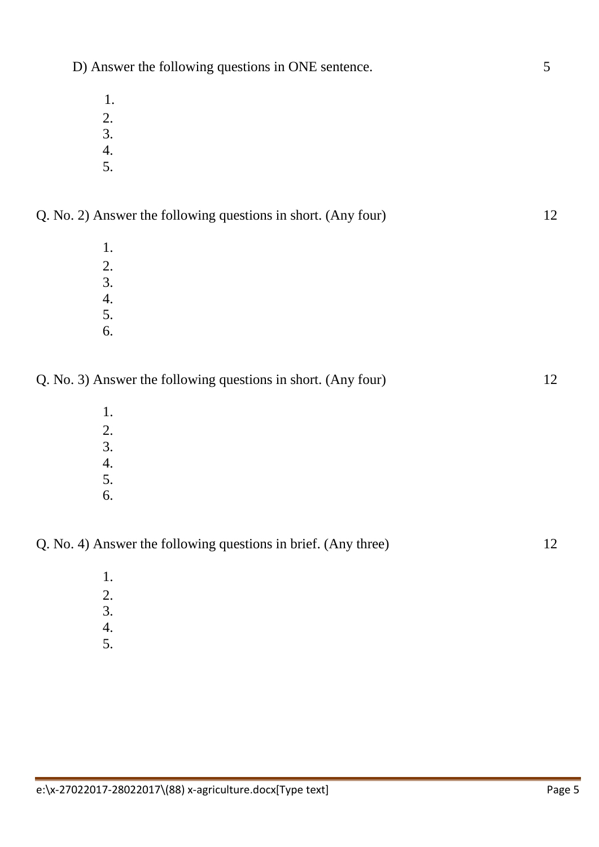- 1.
- 2.
- 3.
- 4. 5.
- Q. No. 2) Answer the following questions in short. (Any four) 12
	- 1. 2. 3. 4.
	- 5. 6.
- Q. No. 3) Answer the following questions in short. (Any four) 12
	- 1. 2. 3. 4. 5.
	- 6.

#### Q. No. 4) Answer the following questions in brief. (Any three) 12

- 1.
- 2.
- 3.
- 4.
- 5.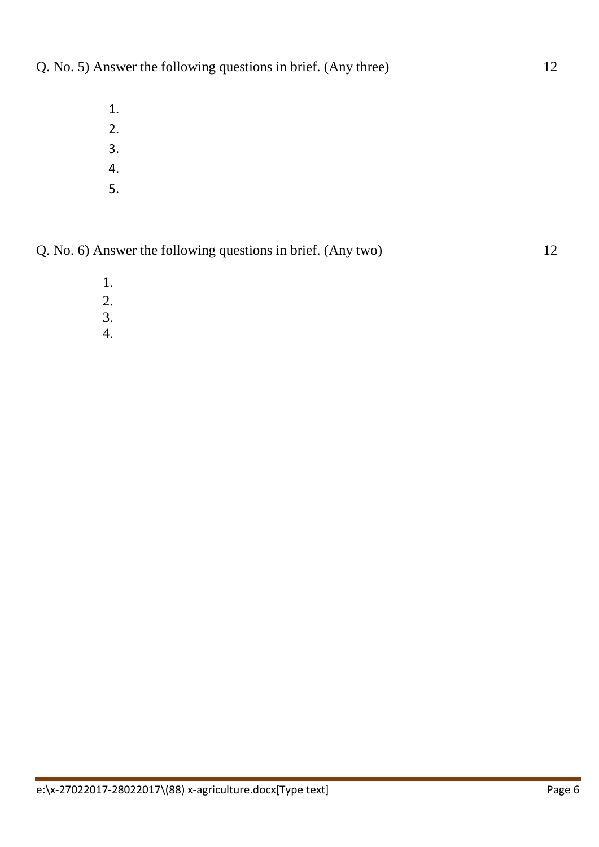- 1.
- 2.
- 3.
- 4.
- 5.

Q. No. 6) Answer the following questions in brief. (Any two) 12

- 1.
- 2.
- 3.
- 4.